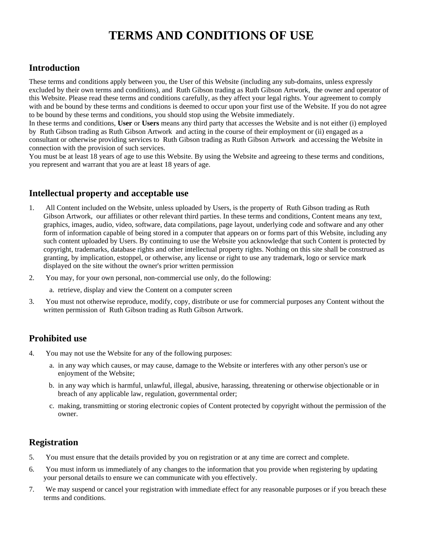# **TERMS AND CONDITIONS OF USE**

## **Introduction**

These terms and conditions apply between you, the User of this Website (including any sub-domains, unless expressly excluded by their own terms and conditions), and Ruth Gibson trading as Ruth Gibson Artwork, the owner and operator of this Website. Please read these terms and conditions carefully, as they affect your legal rights. Your agreement to comply with and be bound by these terms and conditions is deemed to occur upon your first use of the Website. If you do not agree to be bound by these terms and conditions, you should stop using the Website immediately.

In these terms and conditions, **User** or **Users** means any third party that accesses the Website and is not either (i) employed by Ruth Gibson trading as Ruth Gibson Artwork and acting in the course of their employment or (ii) engaged as a consultant or otherwise providing services to Ruth Gibson trading as Ruth Gibson Artwork and accessing the Website in connection with the provision of such services.

You must be at least 18 years of age to use this Website. By using the Website and agreeing to these terms and conditions, you represent and warrant that you are at least 18 years of age.

# **Intellectual property and acceptable use**

- 1. All Content included on the Website, unless uploaded by Users, is the property of Ruth Gibson trading as Ruth Gibson Artwork, our affiliates or other relevant third parties. In these terms and conditions, Content means any text, graphics, images, audio, video, software, data compilations, page layout, underlying code and software and any other form of information capable of being stored in a computer that appears on or forms part of this Website, including any such content uploaded by Users. By continuing to use the Website you acknowledge that such Content is protected by copyright, trademarks, database rights and other intellectual property rights. Nothing on this site shall be construed as granting, by implication, estoppel, or otherwise, any license or right to use any trademark, logo or service mark displayed on the site without the owner's prior written permission
- 2. You may, for your own personal, non-commercial use only, do the following:
	- a. retrieve, display and view the Content on a computer screen
- 3. You must not otherwise reproduce, modify, copy, distribute or use for commercial purposes any Content without the written permission of Ruth Gibson trading as Ruth Gibson Artwork.

# **Prohibited use**

- 4. You may not use the Website for any of the following purposes:
	- a. in any way which causes, or may cause, damage to the Website or interferes with any other person's use or enjoyment of the Website;
	- b. in any way which is harmful, unlawful, illegal, abusive, harassing, threatening or otherwise objectionable or in breach of any applicable law, regulation, governmental order;
	- c. making, transmitting or storing electronic copies of Content protected by copyright without the permission of the owner.

## **Registration**

- 5. You must ensure that the details provided by you on registration or at any time are correct and complete.
- 6. You must inform us immediately of any changes to the information that you provide when registering by updating your personal details to ensure we can communicate with you effectively.
- 7. We may suspend or cancel your registration with immediate effect for any reasonable purposes or if you breach these terms and conditions.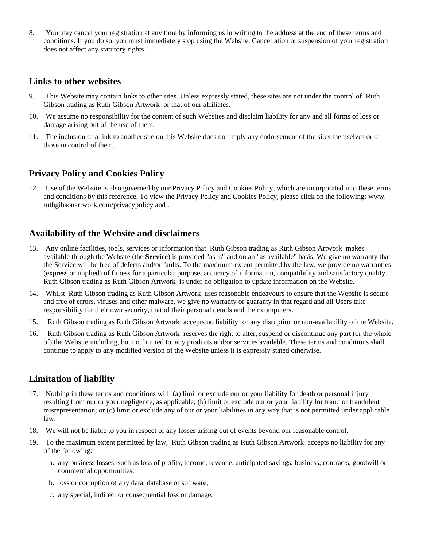8. You may cancel your registration at any time by informing us in writing to the address at the end of these terms and conditions. If you do so, you must immediately stop using the Website. Cancellation or suspension of your registration does not affect any statutory rights.

#### **Links to other websites**

- 9. This Website may contain links to other sites. Unless expressly stated, these sites are not under the control of Ruth Gibson trading as Ruth Gibson Artwork or that of our affiliates.
- 10. We assume no responsibility for the content of such Websites and disclaim liability for any and all forms of loss or damage arising out of the use of them.
- 11. The inclusion of a link to another site on this Website does not imply any endorsement of the sites themselves or of those in control of them.

## **Privacy Policy and Cookies Policy**

12. Use of the Website is also governed by our Privacy Policy and Cookies Policy, which are incorporated into these terms and conditions by this reference. To view the Privacy Policy and Cookies Policy, please click on the following: www. ruthgibsonartwork.com/privacypolicy and .

## **Availability of the Website and disclaimers**

- 13. Any online facilities, tools, services or information that Ruth Gibson trading as Ruth Gibson Artwork makes available through the Website (the **Service**) is provided "as is" and on an "as available" basis. We give no warranty that the Service will be free of defects and/or faults. To the maximum extent permitted by the law, we provide no warranties (express or implied) of fitness for a particular purpose, accuracy of information, compatibility and satisfactory quality. Ruth Gibson trading as Ruth Gibson Artwork is under no obligation to update information on the Website.
- 14. Whilst Ruth Gibson trading as Ruth Gibson Artwork uses reasonable endeavours to ensure that the Website is secure and free of errors, viruses and other malware, we give no warranty or guaranty in that regard and all Users take responsibility for their own security, that of their personal details and their computers.
- 15. Ruth Gibson trading as Ruth Gibson Artwork accepts no liability for any disruption or non-availability of the Website.
- 16. Ruth Gibson trading as Ruth Gibson Artwork reserves the right to alter, suspend or discontinue any part (or the whole of) the Website including, but not limited to, any products and/or services available. These terms and conditions shall continue to apply to any modified version of the Website unless it is expressly stated otherwise.

## **Limitation of liability**

- 17. Nothing in these terms and conditions will: (a) limit or exclude our or your liability for death or personal injury resulting from our or your negligence, as applicable; (b) limit or exclude our or your liability for fraud or fraudulent misrepresentation; or (c) limit or exclude any of our or your liabilities in any way that is not permitted under applicable law.
- 18. We will not be liable to you in respect of any losses arising out of events beyond our reasonable control.
- 19. To the maximum extent permitted by law, Ruth Gibson trading as Ruth Gibson Artwork accepts no liability for any of the following:
	- a. any business losses, such as loss of profits, income, revenue, anticipated savings, business, contracts, goodwill or commercial opportunities;
	- b. loss or corruption of any data, database or software;
	- c. any special, indirect or consequential loss or damage.